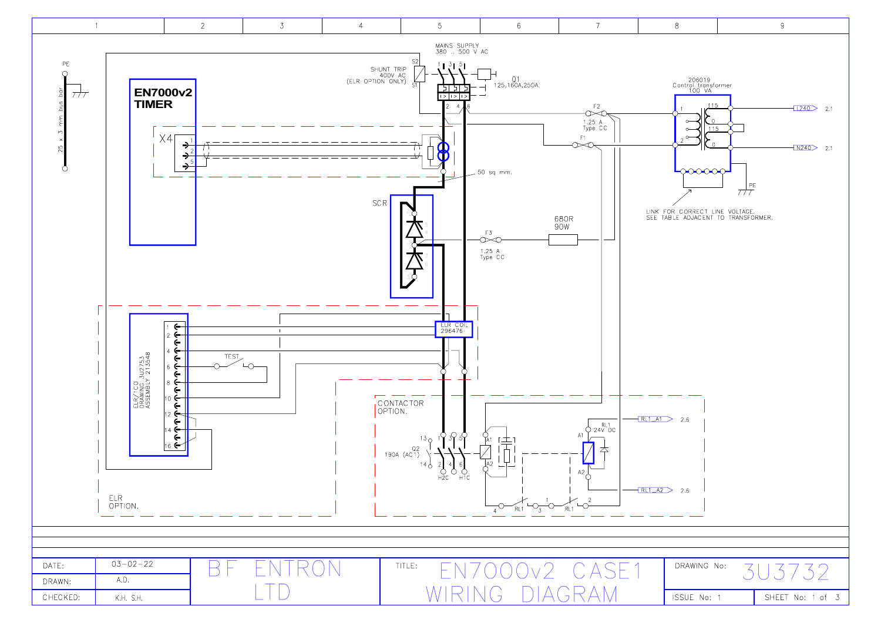

| <b>ISSUE</b> | No: | 1 |
|--------------|-----|---|
|              |     |   |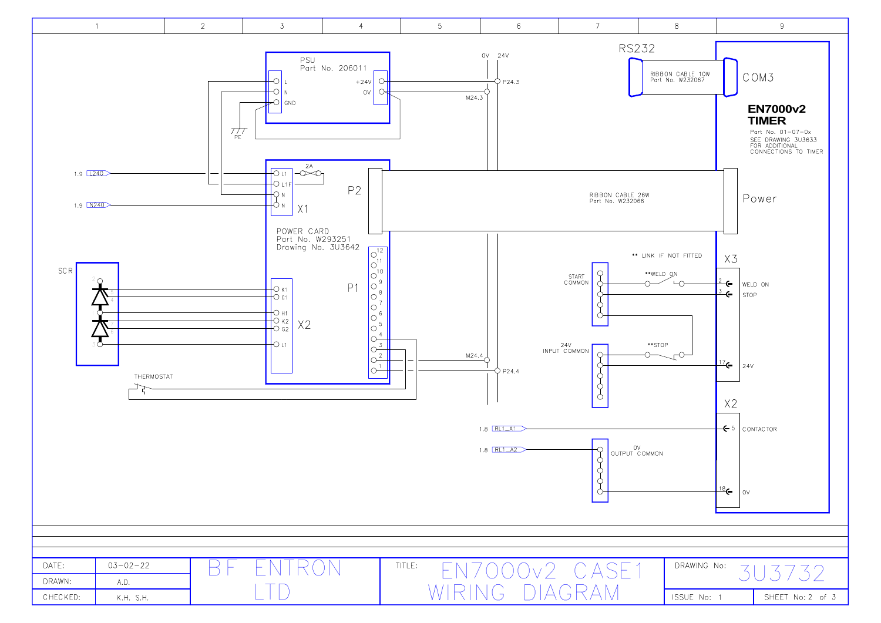